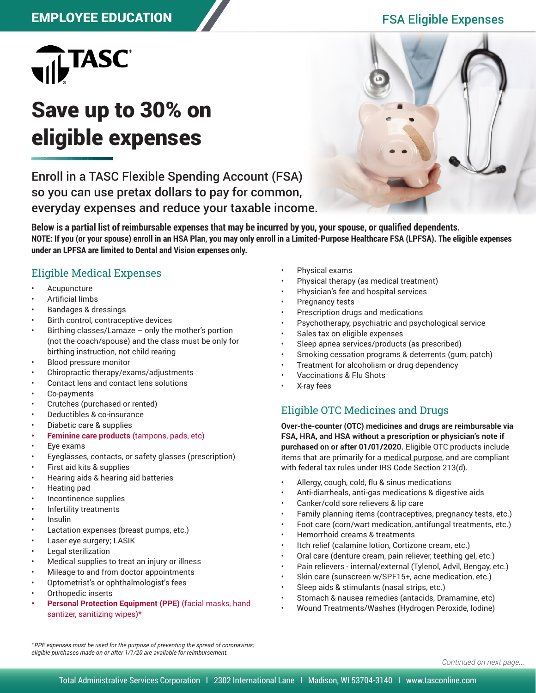# EMPLOYEE EDUCATION FSA Eligible Expenses



# Save up to 30% on eligible expenses

Enroll in a TASC Flexible Spending Account (FSA) so you can use pretax dollars to pay for common, everyday expenses and reduce your taxable income.



**Below is a partial list of reimbursable expenses that may be incurred by you, your spouse, or qualified dependents. NOTE: If you (or your spouse) enroll in an HSA Plan, you may only enroll in a Limited-Purpose Healthcare FSA (LPFSA). The eligible expenses under an LPFSA are limited to Dental and Vision expenses only.**

#### Eligible Medical Expenses

- **Acupuncture**
- Artificial limbs
- Bandages & dressings
- Birth control, contraceptive devices
- Birthing classes/Lamaze  $-$  only the mother's portion (not the coach/spouse) and the class must be only for birthing instruction, not child rearing
- Blood pressure monitor
- Chiropractic therapy/exams/adjustments
- Contact lens and contact lens solutions
- Co-payments
- Crutches (purchased or rented)
- Deductibles & co-insurance
- Diabetic care & supplies
- **• Feminine care products** (tampons, pads, etc)
- Eye exams
- Eyeglasses, contacts, or safety glasses (prescription)
- First aid kits & supplies
- Hearing aids & hearing aid batteries
- Heating pad
- Incontinence supplies
- Infertility treatments
- Insulin
- Lactation expenses (breast pumps, etc.)
- Laser eye surgery; LASIK
- Legal sterilization
- Medical supplies to treat an injury or illness
- Mileage to and from doctor appointments
- Optometrist's or ophthalmologist's fees
- Orthopedic inserts
- **• Personal Protection Equipment (PPE)** (facial masks, hand santizer, sanitizing wipes)\*
- Physical exams
- Physical therapy (as medical treatment)
- Physician's fee and hospital services
- Pregnancy tests
- Prescription drugs and medications
- Psychotherapy, psychiatric and psychological service
- Sales tax on eligible expenses
- Sleep apnea services/products (as prescribed)
- Smoking cessation programs & deterrents (gum, patch)
- Treatment for alcoholism or drug dependency
- Vaccinations & Flu Shots
- X-ray fees

### Eligible OTC Medicines and Drugs

**Over-the-counter (OTC) medicines and drugs are reimbursable via FSA, HRA, and HSA without a prescription or physician's note if purchased on or after 01/01/2020.** Eligible OTC products include items that are primarily for a medical purpose, and are compliant with federal tax rules under IRS Code Section 213(d).

- Allergy, cough, cold, flu & sinus medications
- Anti-diarrheals, anti-gas medications & digestive aids
- Canker/cold sore relievers & lip care
- Family planning items (contraceptives, pregnancy tests, etc.)
- Foot care (corn/wart medication, antifungal treatments, etc.)
- Hemorrhoid creams & treatments
- Itch relief (calamine lotion, Cortizone cream, etc.)
- Oral care (denture cream, pain reliever, teething gel, etc.)
- Pain relievers internal/external (Tylenol, Advil, Bengay, etc.)
- Skin care (sunscreen w/SPF15+, acne medication, etc.)
- Sleep aids & stimulants (nasal strips, etc.)
- Stomach & nausea remedies (antacids, Dramamine, etc)
- Wound Treatments/Washes (Hydrogen Peroxide, Iodine)

\**PPE expenses must be used for the purpose of preventing the spread of coronavirus; eligible purchases made on or after 1/1/20 are available for reimbursement.*